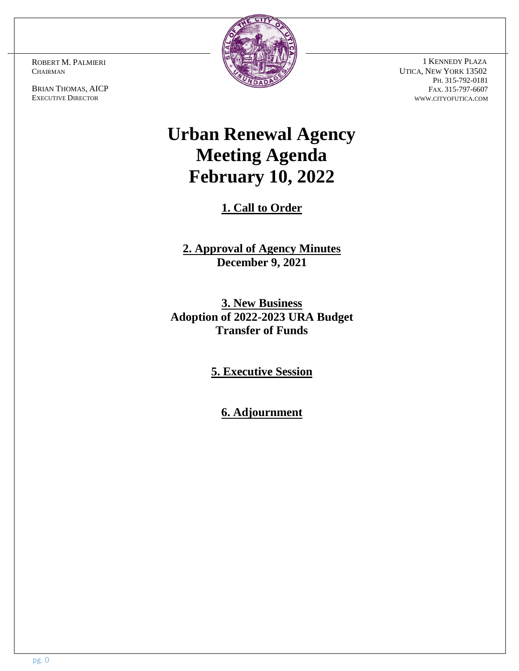ROBERT M. PALMIERI **CHAIRMAN** 

BRIAN THOMAS, AICP EXECUTIVE DIRECTOR



 1 KENNEDY PLAZA UTICA, NEW YORK 13502 PH. 315-792-0181 FAX. 315-797-6607 WWW.CITYOFUTICA.COM

# **Urban Renewal Agency Meeting Agenda February 10, 2022**

**1. Call to Order**

**2. Approval of Agency Minutes December 9, 2021**

**3. New Business Adoption of 2022-2023 URA Budget Transfer of Funds** 

**5. Executive Session**

**6. Adjournment**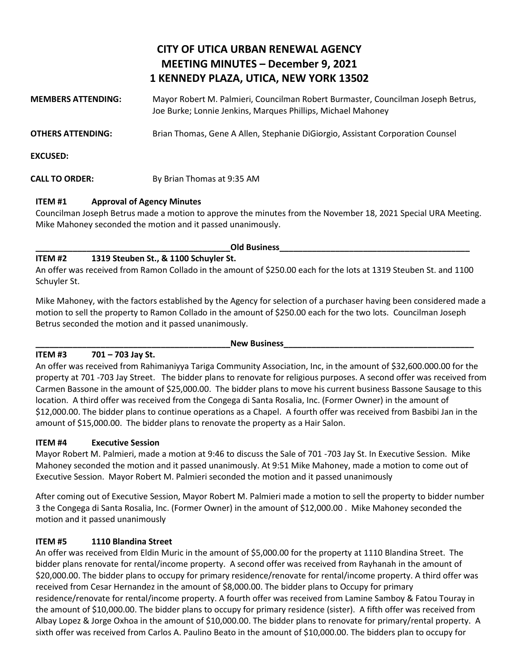## **CITY OF UTICA URBAN RENEWAL AGENCY MEETING MINUTES – December 9, 2021 1 KENNEDY PLAZA, UTICA, NEW YORK 13502**

| <b>MEMBERS ATTENDING:</b> | Mayor Robert M. Palmieri, Councilman Robert Burmaster, Councilman Joseph Betrus,<br>Joe Burke; Lonnie Jenkins, Marques Phillips, Michael Mahoney |
|---------------------------|--------------------------------------------------------------------------------------------------------------------------------------------------|
| OTHERS ATTENDING:         | Brian Thomas, Gene A Allen, Stephanie DiGiorgio, Assistant Corporation Counsel                                                                   |
| <b>EXCUSED:</b>           |                                                                                                                                                  |
| <b>CALL TO ORDER:</b>     | By Brian Thomas at 9:35 AM                                                                                                                       |

#### **ITEM #1 Approval of Agency Minutes**

Councilman Joseph Betrus made a motion to approve the minutes from the November 18, 2021 Special URA Meeting. Mike Mahoney seconded the motion and it passed unanimously.

#### **\_\_\_\_\_\_\_\_\_\_\_\_\_\_\_\_\_\_\_\_\_\_\_\_\_\_\_\_\_\_\_\_\_\_\_\_\_\_\_\_\_\_Old Business\_\_\_\_\_\_\_\_\_\_\_\_\_\_\_\_\_\_\_\_\_\_\_\_\_\_\_\_\_\_\_\_\_\_\_\_\_\_\_\_\_**

#### **ITEM #2 1319 Steuben St., & 1100 Schuyler St.**

An offer was received from Ramon Collado in the amount of \$250.00 each for the lots at 1319 Steuben St. and 1100 Schuyler St.

Mike Mahoney, with the factors established by the Agency for selection of a purchaser having been considered made a motion to sell the property to Ramon Collado in the amount of \$250.00 each for the two lots. Councilman Joseph Betrus seconded the motion and it passed unanimously.

#### **ITEM #3 701 – 703 Jay St.**

#### New Business

An offer was received from Rahimaniyya Tariga Community Association, Inc, in the amount of \$32,600.000.00 for the property at 701 -703 Jay Street. The bidder plans to renovate for religious purposes. A second offer was received from Carmen Bassone in the amount of \$25,000.00. The bidder plans to move his current business Bassone Sausage to this location. A third offer was received from the Congega di Santa Rosalia, Inc. (Former Owner) in the amount of \$12,000.00. The bidder plans to continue operations as a Chapel. A fourth offer was received from Basbibi Jan in the amount of \$15,000.00. The bidder plans to renovate the property as a Hair Salon.

#### **ITEM #4 Executive Session**

Mayor Robert M. Palmieri, made a motion at 9:46 to discuss the Sale of 701 -703 Jay St. In Executive Session. Mike Mahoney seconded the motion and it passed unanimously. At 9:51 Mike Mahoney, made a motion to come out of Executive Session. Mayor Robert M. Palmieri seconded the motion and it passed unanimously

After coming out of Executive Session, Mayor Robert M. Palmieri made a motion to sell the property to bidder number 3 the Congega di Santa Rosalia, Inc. (Former Owner) in the amount of \$12,000.00 . Mike Mahoney seconded the motion and it passed unanimously

### **ITEM #5 1110 Blandina Street**

An offer was received from Eldin Muric in the amount of \$5,000.00 for the property at 1110 Blandina Street. The bidder plans renovate for rental/income property. A second offer was received from Rayhanah in the amount of \$20,000.00. The bidder plans to occupy for primary residence/renovate for rental/income property. A third offer was received from Cesar Hernandez in the amount of \$8,000.00. The bidder plans to Occupy for primary residence/renovate for rental/income property. A fourth offer was received from Lamine Samboy & Fatou Touray in the amount of \$10,000.00. The bidder plans to occupy for primary residence (sister). A fifth offer was received from Albay Lopez & Jorge Oxhoa in the amount of \$10,000.00. The bidder plans to renovate for primary/rental property. A sixth offer was received from Carlos A. Paulino Beato in the amount of \$10,000.00. The bidders plan to occupy for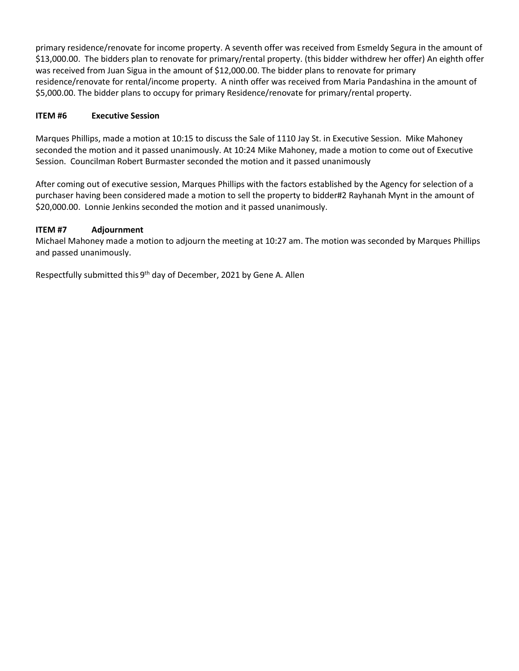primary residence/renovate for income property. A seventh offer was received from Esmeldy Segura in the amount of \$13,000.00. The bidders plan to renovate for primary/rental property. (this bidder withdrew her offer) An eighth offer was received from Juan Sigua in the amount of \$12,000.00. The bidder plans to renovate for primary residence/renovate for rental/income property. A ninth offer was received from Maria Pandashina in the amount of \$5,000.00. The bidder plans to occupy for primary Residence/renovate for primary/rental property.

#### **ITEM #6 Executive Session**

Marques Phillips, made a motion at 10:15 to discuss the Sale of 1110 Jay St. in Executive Session. Mike Mahoney seconded the motion and it passed unanimously. At 10:24 Mike Mahoney, made a motion to come out of Executive Session. Councilman Robert Burmaster seconded the motion and it passed unanimously

After coming out of executive session, Marques Phillips with the factors established by the Agency for selection of a purchaser having been considered made a motion to sell the property to bidder#2 Rayhanah Mynt in the amount of \$20,000.00. Lonnie Jenkins seconded the motion and it passed unanimously.

#### **ITEM #7 Adjournment**

Michael Mahoney made a motion to adjourn the meeting at 10:27 am. The motion was seconded by Marques Phillips and passed unanimously.

Respectfully submitted this 9<sup>th</sup> day of December, 2021 by Gene A. Allen